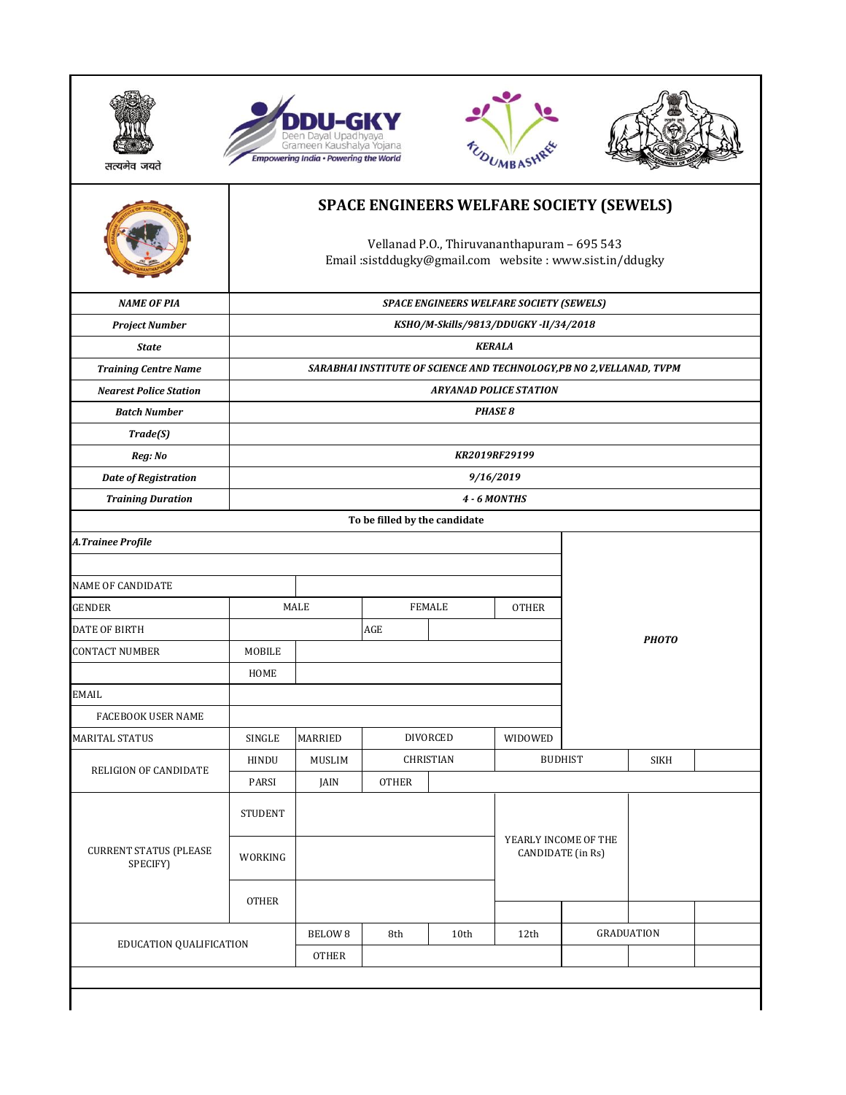







|                                           |                | <b>SPACE ENGINEERS WELFARE SOCIETY (SEWELS)</b><br>Vellanad P.O., Thiruvananthapuram - 695 543<br>Email:sistddugky@gmail.com website:www.sist.in/ddugky |                               |                  |              |                                           |                   |  |  |  |
|-------------------------------------------|----------------|---------------------------------------------------------------------------------------------------------------------------------------------------------|-------------------------------|------------------|--------------|-------------------------------------------|-------------------|--|--|--|
| <b>NAME OF PIA</b>                        |                | <b>SPACE ENGINEERS WELFARE SOCIETY (SEWELS)</b>                                                                                                         |                               |                  |              |                                           |                   |  |  |  |
| <b>Project Number</b>                     |                | KSHO/M-Skills/9813/DDUGKY-II/34/2018                                                                                                                    |                               |                  |              |                                           |                   |  |  |  |
| <b>State</b>                              |                | <b>KERALA</b>                                                                                                                                           |                               |                  |              |                                           |                   |  |  |  |
| <b>Training Centre Name</b>               |                | SARABHAI INSTITUTE OF SCIENCE AND TECHNOLOGY, PB NO 2, VELLANAD, TVPM                                                                                   |                               |                  |              |                                           |                   |  |  |  |
| <b>Nearest Police Station</b>             |                | <b>ARYANAD POLICE STATION</b>                                                                                                                           |                               |                  |              |                                           |                   |  |  |  |
| <b>Batch Number</b>                       |                | <b>PHASE 8</b>                                                                                                                                          |                               |                  |              |                                           |                   |  |  |  |
| Trade(S)                                  |                |                                                                                                                                                         |                               |                  |              |                                           |                   |  |  |  |
| Reg: No                                   |                | KR2019RF29199                                                                                                                                           |                               |                  |              |                                           |                   |  |  |  |
| <b>Date of Registration</b>               |                | 9/16/2019                                                                                                                                               |                               |                  |              |                                           |                   |  |  |  |
| <b>Training Duration</b>                  |                |                                                                                                                                                         |                               |                  | 4 - 6 MONTHS |                                           |                   |  |  |  |
|                                           |                |                                                                                                                                                         | To be filled by the candidate |                  |              |                                           |                   |  |  |  |
| A.Trainee Profile                         |                |                                                                                                                                                         |                               |                  |              |                                           |                   |  |  |  |
| <b>NAME OF CANDIDATE</b>                  |                |                                                                                                                                                         |                               |                  |              |                                           |                   |  |  |  |
| <b>GENDER</b>                             |                | MALE                                                                                                                                                    |                               | <b>FEMALE</b>    | <b>OTHER</b> |                                           |                   |  |  |  |
| DATE OF BIRTH                             |                |                                                                                                                                                         | AGE                           |                  |              |                                           | <b>PHOTO</b>      |  |  |  |
| <b>CONTACT NUMBER</b>                     | MOBILE         |                                                                                                                                                         |                               |                  |              |                                           |                   |  |  |  |
|                                           | HOME           |                                                                                                                                                         |                               |                  |              |                                           |                   |  |  |  |
| <b>EMAIL</b>                              |                |                                                                                                                                                         |                               |                  |              |                                           |                   |  |  |  |
| FACEBOOK USER NAME                        |                |                                                                                                                                                         |                               |                  |              |                                           |                   |  |  |  |
| <b>MARITAL STATUS</b>                     | <b>SINGLE</b>  | <b>MARRIED</b>                                                                                                                                          |                               | <b>DIVORCED</b>  | WIDOWED      |                                           |                   |  |  |  |
| RELIGION OF CANDIDATE                     | <b>HINDU</b>   | MUSLIM                                                                                                                                                  |                               | <b>CHRISTIAN</b> |              | <b>BUDHIST</b>                            | <b>SIKH</b>       |  |  |  |
|                                           | PARSI          | JAIN                                                                                                                                                    | <b>OTHER</b>                  |                  |              |                                           |                   |  |  |  |
|                                           | <b>STUDENT</b> |                                                                                                                                                         |                               |                  |              |                                           |                   |  |  |  |
| <b>CURRENT STATUS (PLEASE</b><br>SPECIFY) | WORKING        |                                                                                                                                                         |                               |                  |              | YEARLY INCOME OF THE<br>CANDIDATE (in Rs) |                   |  |  |  |
|                                           | <b>OTHER</b>   |                                                                                                                                                         |                               |                  |              |                                           |                   |  |  |  |
|                                           |                | <b>BELOW 8</b>                                                                                                                                          | 8th                           | 10th             | 12th         |                                           | <b>GRADUATION</b> |  |  |  |
| EDUCATION QUALIFICATION                   |                | <b>OTHER</b>                                                                                                                                            |                               |                  |              |                                           |                   |  |  |  |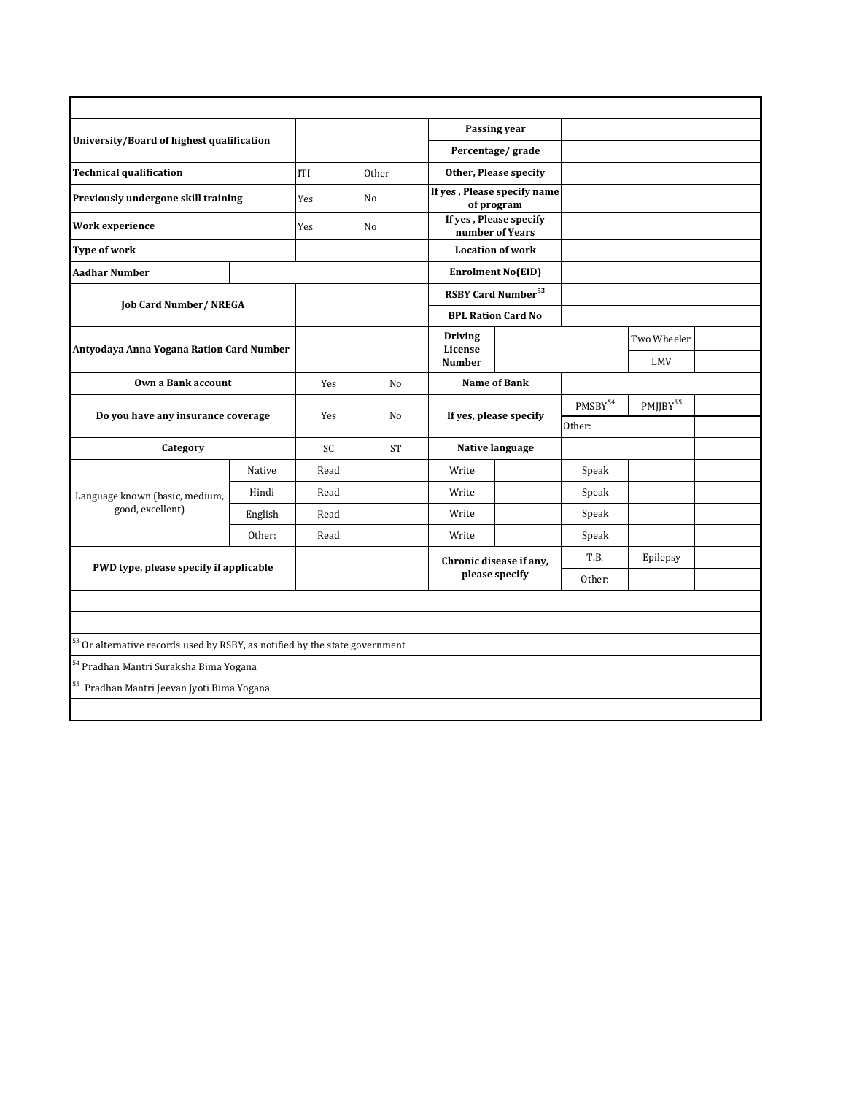| University/Board of highest qualification                                     |                                    |      |                |                                | Passing year<br>Percentage/grade          |       |                      |  |
|-------------------------------------------------------------------------------|------------------------------------|------|----------------|--------------------------------|-------------------------------------------|-------|----------------------|--|
|                                                                               |                                    |      |                |                                |                                           |       |                      |  |
| <b>Technical qualification</b>                                                |                                    | ITI  | Other          |                                | Other, Please specify                     |       |                      |  |
| Previously undergone skill training                                           |                                    | Yes  | N <sub>o</sub> |                                | If yes, Please specify name<br>of program |       |                      |  |
| Work experience                                                               |                                    | Yes  | No             |                                | If yes, Please specify<br>number of Years |       |                      |  |
| <b>Type of work</b>                                                           |                                    |      |                |                                | <b>Location of work</b>                   |       |                      |  |
| <b>Aadhar Number</b>                                                          |                                    |      |                |                                | <b>Enrolment No(EID)</b>                  |       |                      |  |
|                                                                               |                                    |      |                | RSBY Card Number <sup>53</sup> |                                           |       |                      |  |
| <b>Job Card Number/ NREGA</b>                                                 |                                    |      |                |                                | <b>BPL Ration Card No</b>                 |       |                      |  |
| Antyodaya Anna Yogana Ration Card Number                                      |                                    |      |                |                                | <b>Driving</b><br>License                 |       | Two Wheeler          |  |
|                                                                               |                                    |      |                | <b>Number</b>                  |                                           |       | LMV                  |  |
| Own a Bank account                                                            |                                    | Yes  | No             |                                | <b>Name of Bank</b>                       |       |                      |  |
|                                                                               | Do you have any insurance coverage |      | N <sub>0</sub> |                                | If yes, please specify                    |       | PMJJBY <sup>55</sup> |  |
|                                                                               |                                    | Yes  |                |                                |                                           |       |                      |  |
| Category                                                                      |                                    | SC.  | <b>ST</b>      |                                | Native language                           |       |                      |  |
|                                                                               | Native                             | Read |                | Write                          |                                           | Speak |                      |  |
| Language known (basic, medium,                                                | Hindi                              | Read |                | Write                          |                                           | Speak |                      |  |
| good, excellent)                                                              | English                            | Read |                | Write                          |                                           | Speak |                      |  |
|                                                                               | Other:                             | Read |                | Write                          |                                           | Speak |                      |  |
| PWD type, please specify if applicable                                        |                                    |      |                |                                | Chronic disease if any,<br>please specify |       | Epilepsy             |  |
|                                                                               |                                    |      |                |                                |                                           |       |                      |  |
|                                                                               |                                    |      |                |                                |                                           |       |                      |  |
|                                                                               |                                    |      |                |                                |                                           |       |                      |  |
| $53$ Or alternative records used by RSBY, as notified by the state government |                                    |      |                |                                |                                           |       |                      |  |
| <sup>54</sup> Pradhan Mantri Suraksha Bima Yogana                             |                                    |      |                |                                |                                           |       |                      |  |
| Pradhan Mantri Jeevan Jyoti Bima Yogana                                       |                                    |      |                |                                |                                           |       |                      |  |
|                                                                               |                                    |      |                |                                |                                           |       |                      |  |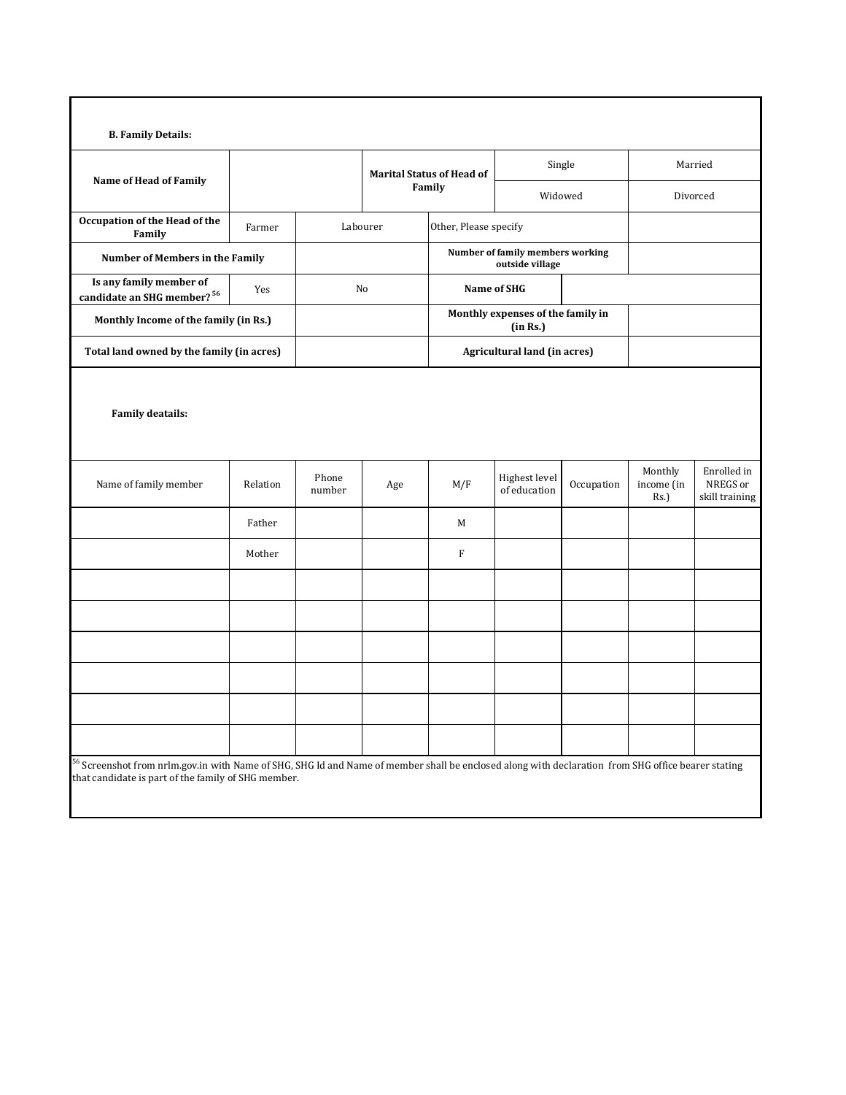| <b>Name of Head of Family</b>                                     |                                       |                 | <b>Marital Status of Head of</b><br>Family |                                               |                               | Single                           | Married                          |                                           |
|-------------------------------------------------------------------|---------------------------------------|-----------------|--------------------------------------------|-----------------------------------------------|-------------------------------|----------------------------------|----------------------------------|-------------------------------------------|
|                                                                   |                                       |                 |                                            |                                               |                               | Widowed                          | Divorced                         |                                           |
| Occupation of the Head of the<br>Family                           | Farmer                                |                 | Labourer                                   | Other, Please specify                         |                               |                                  |                                  |                                           |
| Number of Members in the Family                                   |                                       |                 |                                            |                                               | outside village               | Number of family members working |                                  |                                           |
| Is any family member of<br>candidate an SHG member? <sup>56</sup> | Yes                                   |                 | No                                         |                                               | Name of SHG                   |                                  |                                  |                                           |
|                                                                   | Monthly Income of the family (in Rs.) |                 |                                            | Monthly expenses of the family in<br>(in Rs.) |                               |                                  |                                  |                                           |
| Total land owned by the family (in acres)                         |                                       |                 |                                            |                                               | Agricultural land (in acres)  |                                  |                                  |                                           |
| Name of family member                                             | Relation                              | Phone<br>number | Age                                        | M/F                                           | Highest level<br>of education | Occupation                       | Monthly<br>income (in<br>$Rs.$ ) | Enrolled in<br>NREGS or<br>skill training |
|                                                                   | Father                                |                 |                                            | M                                             |                               |                                  |                                  |                                           |
|                                                                   | Mother                                |                 |                                            | F                                             |                               |                                  |                                  |                                           |
|                                                                   |                                       |                 |                                            |                                               |                               |                                  |                                  |                                           |
|                                                                   |                                       |                 |                                            |                                               |                               |                                  |                                  |                                           |
|                                                                   |                                       |                 |                                            |                                               |                               |                                  |                                  |                                           |
|                                                                   |                                       |                 |                                            |                                               |                               |                                  |                                  |                                           |
|                                                                   |                                       |                 |                                            |                                               |                               |                                  |                                  |                                           |
|                                                                   |                                       |                 |                                            |                                               |                               |                                  |                                  |                                           |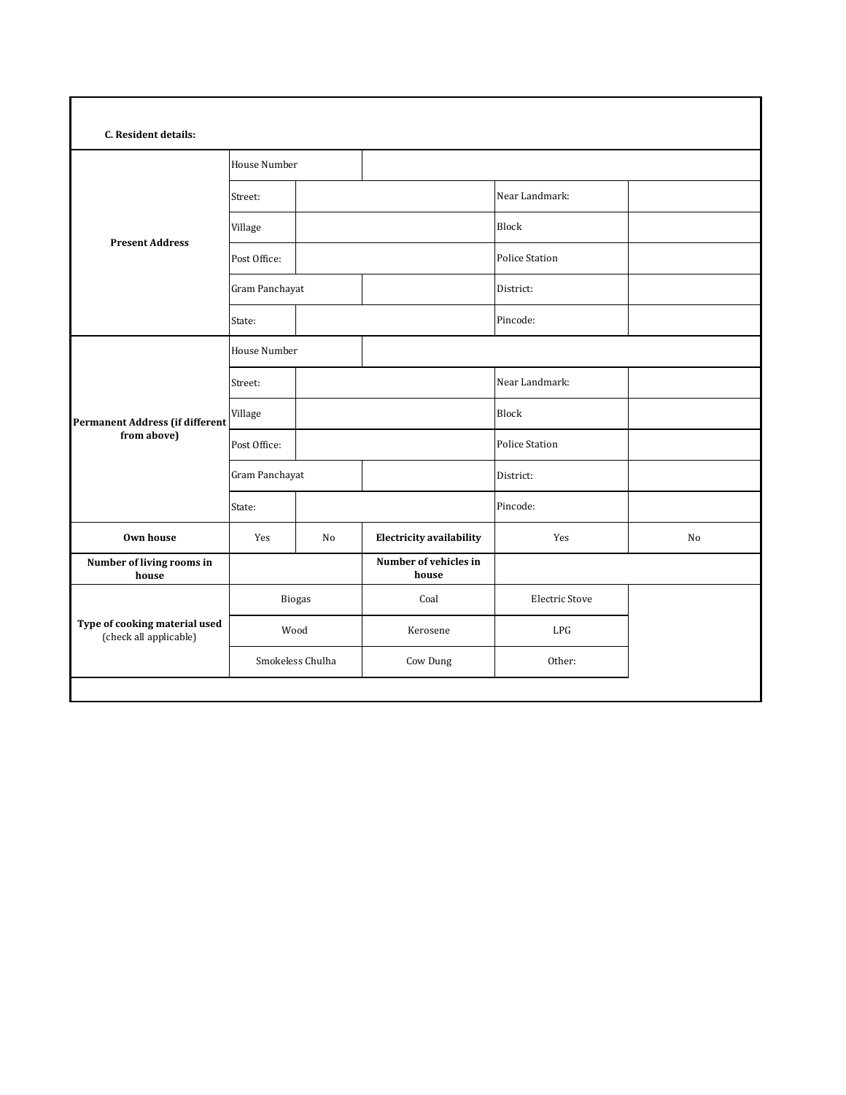| C. Resident details:                                    |                  |    |                                 |                       |    |  |  |  |  |
|---------------------------------------------------------|------------------|----|---------------------------------|-----------------------|----|--|--|--|--|
|                                                         | House Number     |    |                                 |                       |    |  |  |  |  |
|                                                         | Street:          |    |                                 | Near Landmark:        |    |  |  |  |  |
|                                                         | Village          |    |                                 | Block                 |    |  |  |  |  |
| <b>Present Address</b>                                  | Post Office:     |    |                                 | <b>Police Station</b> |    |  |  |  |  |
|                                                         | Gram Panchayat   |    |                                 | District:             |    |  |  |  |  |
|                                                         | State:           |    |                                 | Pincode:              |    |  |  |  |  |
|                                                         | House Number     |    |                                 |                       |    |  |  |  |  |
|                                                         | Street:          |    |                                 | Near Landmark:        |    |  |  |  |  |
| <b>Permanent Address (if different</b>                  | Village          |    |                                 | <b>Block</b>          |    |  |  |  |  |
| from above)                                             | Post Office:     |    |                                 | <b>Police Station</b> |    |  |  |  |  |
|                                                         | Gram Panchayat   |    |                                 | District:             |    |  |  |  |  |
|                                                         | State:           |    |                                 | Pincode:              |    |  |  |  |  |
| Own house                                               | Yes              | No | <b>Electricity availability</b> | Yes                   | No |  |  |  |  |
| Number of living rooms in<br>house                      |                  |    | Number of vehicles in<br>house  |                       |    |  |  |  |  |
|                                                         | Biogas           |    | Coal                            | <b>Electric Stove</b> |    |  |  |  |  |
| Type of cooking material used<br>(check all applicable) | Wood             |    | Kerosene                        | LPG                   |    |  |  |  |  |
|                                                         | Smokeless Chulha |    | Cow Dung                        | Other:                |    |  |  |  |  |
|                                                         |                  |    |                                 |                       |    |  |  |  |  |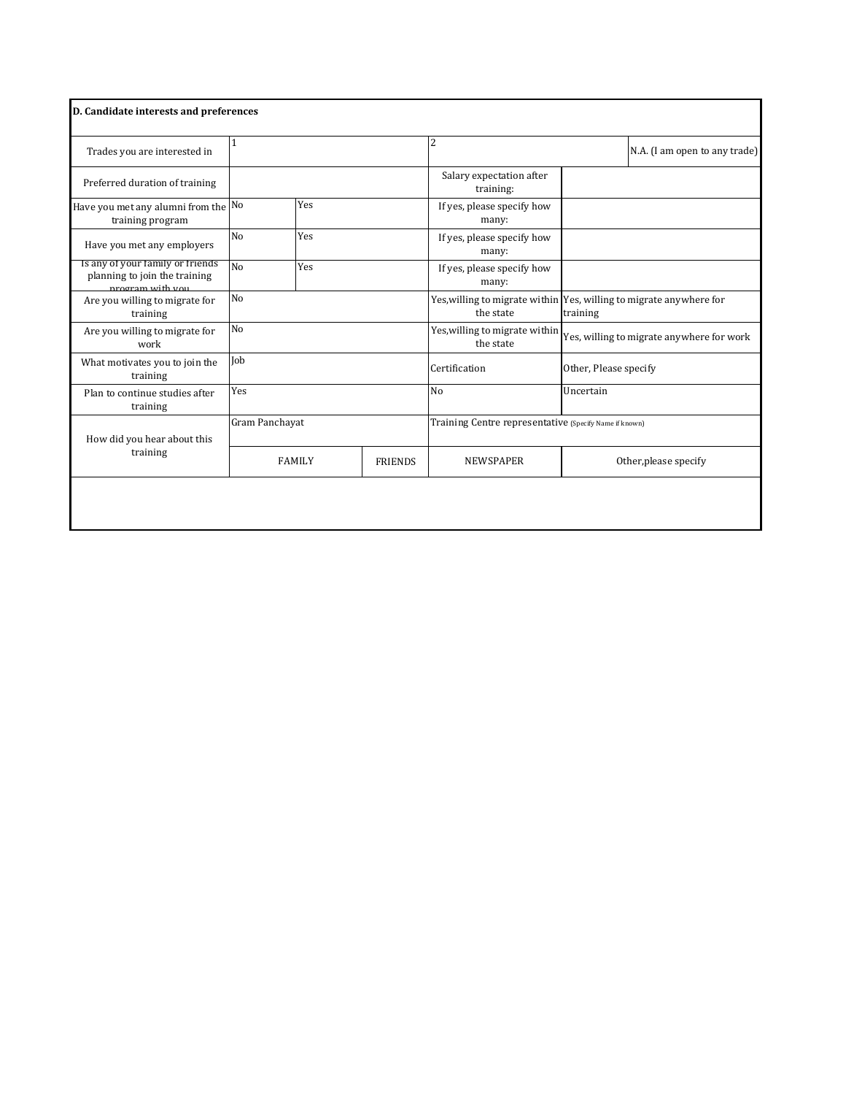| D. Candidate interests and preferences                                                |                                 |     |                                     |                                                        |                                                                                 |  |  |
|---------------------------------------------------------------------------------------|---------------------------------|-----|-------------------------------------|--------------------------------------------------------|---------------------------------------------------------------------------------|--|--|
| Trades you are interested in                                                          |                                 |     |                                     | 2                                                      | N.A. (I am open to any trade)                                                   |  |  |
| Preferred duration of training                                                        |                                 |     |                                     | Salary expectation after<br>training:                  |                                                                                 |  |  |
| Have you met any alumni from the No<br>training program                               | Yes                             |     |                                     | If yes, please specify how<br>many:                    |                                                                                 |  |  |
| Have you met any employers                                                            | N <sub>o</sub><br>Yes           |     | If yes, please specify how<br>many: |                                                        |                                                                                 |  |  |
| Is any of your family or friends<br>planning to join the training<br>program with you | No                              | Yes |                                     | If yes, please specify how<br>many:                    |                                                                                 |  |  |
| Are you willing to migrate for<br>training                                            | N <sub>o</sub>                  |     |                                     | the state                                              | Yes, willing to migrate within Yes, willing to migrate anywhere for<br>training |  |  |
| Are you willing to migrate for<br>work                                                | No                              |     |                                     | Yes, willing to migrate within<br>the state            | Yes, willing to migrate anywhere for work                                       |  |  |
| What motivates you to join the<br>training                                            | Job                             |     |                                     | Certification                                          | Other, Please specify                                                           |  |  |
| Plan to continue studies after<br>training                                            | Yes                             |     |                                     | N <sub>o</sub>                                         | Uncertain                                                                       |  |  |
| How did you hear about this                                                           | Gram Panchayat                  |     |                                     | Training Centre representative (Specify Name if known) |                                                                                 |  |  |
| training                                                                              | <b>FAMILY</b><br><b>FRIENDS</b> |     |                                     | <b>NEWSPAPER</b>                                       | Other, please specify                                                           |  |  |
|                                                                                       |                                 |     |                                     |                                                        |                                                                                 |  |  |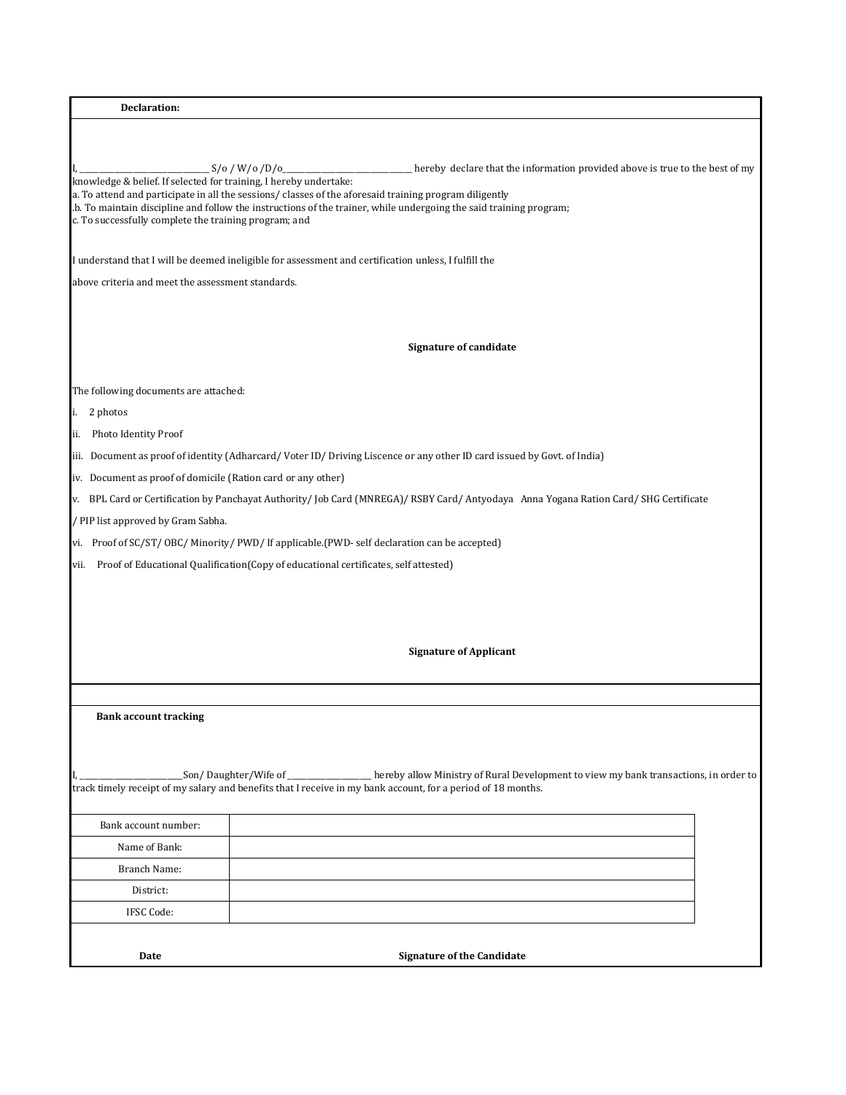| Declaration:                                                                                                                                                                                                                        |             |                                                                                                                                                                                                    |
|-------------------------------------------------------------------------------------------------------------------------------------------------------------------------------------------------------------------------------------|-------------|----------------------------------------------------------------------------------------------------------------------------------------------------------------------------------------------------|
|                                                                                                                                                                                                                                     |             |                                                                                                                                                                                                    |
| knowledge & belief. If selected for training, I hereby undertake:<br>a. To attend and participate in all the sessions/classes of the aforesaid training program diligently<br>c. To successfully complete the training program; and | S/O/W/O/D/O | hereby declare that the information provided above is true to the best of my<br>.b. To maintain discipline and follow the instructions of the trainer, while undergoing the said training program; |
| I understand that I will be deemed ineligible for assessment and certification unless, I fulfill the                                                                                                                                |             |                                                                                                                                                                                                    |
| above criteria and meet the assessment standards.                                                                                                                                                                                   |             |                                                                                                                                                                                                    |
|                                                                                                                                                                                                                                     |             |                                                                                                                                                                                                    |
|                                                                                                                                                                                                                                     |             | <b>Signature of candidate</b>                                                                                                                                                                      |
| The following documents are attached:                                                                                                                                                                                               |             |                                                                                                                                                                                                    |
| i. 2 photos                                                                                                                                                                                                                         |             |                                                                                                                                                                                                    |
| Photo Identity Proof<br>ii.                                                                                                                                                                                                         |             |                                                                                                                                                                                                    |
|                                                                                                                                                                                                                                     |             | iii. Document as proof of identity (Adharcard/Voter ID/Driving Liscence or any other ID card issued by Govt. of India)                                                                             |
| iv. Document as proof of domicile (Ration card or any other)                                                                                                                                                                        |             |                                                                                                                                                                                                    |
|                                                                                                                                                                                                                                     |             | v. BPL Card or Certification by Panchayat Authority/Job Card (MNREGA)/RSBY Card/Antyodaya Anna Yogana Ration Card/SHG Certificate                                                                  |
| / PIP list approved by Gram Sabha.                                                                                                                                                                                                  |             |                                                                                                                                                                                                    |
| vi. Proof of SC/ST/OBC/Minority/PWD/If applicable.(PWD-self declaration can be accepted)                                                                                                                                            |             |                                                                                                                                                                                                    |
| Proof of Educational Qualification(Copy of educational certificates, self attested)<br>vii.                                                                                                                                         |             |                                                                                                                                                                                                    |
|                                                                                                                                                                                                                                     |             |                                                                                                                                                                                                    |
|                                                                                                                                                                                                                                     |             |                                                                                                                                                                                                    |
|                                                                                                                                                                                                                                     |             |                                                                                                                                                                                                    |
|                                                                                                                                                                                                                                     |             | <b>Signature of Applicant</b>                                                                                                                                                                      |
|                                                                                                                                                                                                                                     |             |                                                                                                                                                                                                    |
|                                                                                                                                                                                                                                     |             |                                                                                                                                                                                                    |
| <b>Bank account tracking</b>                                                                                                                                                                                                        |             |                                                                                                                                                                                                    |
|                                                                                                                                                                                                                                     |             |                                                                                                                                                                                                    |
|                                                                                                                                                                                                                                     |             | Son/Daughter/Wife of ______________hereby allow Ministry of Rural Development to view my bank transactions, in order to                                                                            |
|                                                                                                                                                                                                                                     |             | track timely receipt of my salary and benefits that I receive in my bank account, for a period of 18 months.                                                                                       |
| Bank account number:                                                                                                                                                                                                                |             |                                                                                                                                                                                                    |
| Name of Bank:                                                                                                                                                                                                                       |             |                                                                                                                                                                                                    |
| Branch Name:                                                                                                                                                                                                                        |             |                                                                                                                                                                                                    |
| District:                                                                                                                                                                                                                           |             |                                                                                                                                                                                                    |
| IFSC Code:                                                                                                                                                                                                                          |             |                                                                                                                                                                                                    |
|                                                                                                                                                                                                                                     |             |                                                                                                                                                                                                    |
| Date                                                                                                                                                                                                                                |             | <b>Signature of the Candidate</b>                                                                                                                                                                  |
|                                                                                                                                                                                                                                     |             |                                                                                                                                                                                                    |